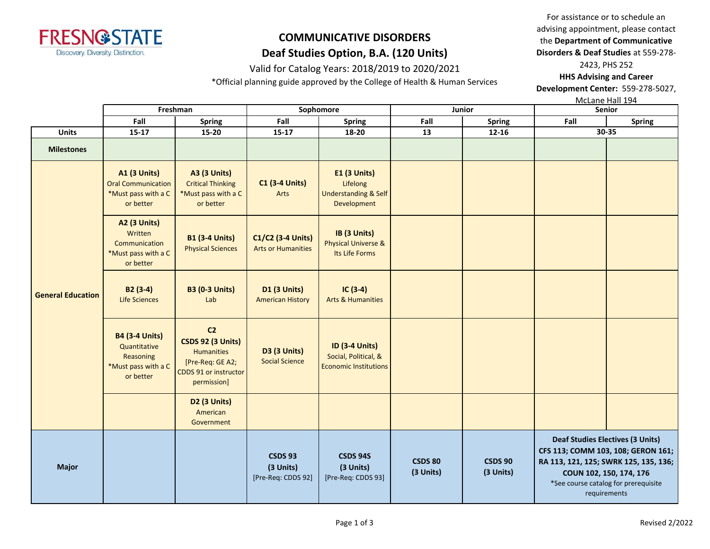

### Valid for Catalog Years: 2018/2019 to 2020/2021

\*Official planning guide approved by the College of Health & Human Services

For assistance or to schedule an advising appointment, please contact the **Department of Communicative Disorders & Deaf Studies** at 559-278- 2423, PHS 252

**HHS Advising and Career Development Center:** 559-278-5027,

McLane Hall 194

|                          | Freshman<br>Sophomore<br>Junior                                                        |                                                                                                                             | <u>IVICLATIC TIAIL LUT</u><br><b>Senior</b>       |                                                                               |                             |                             |                                                                                                                                                                                                           |               |
|--------------------------|----------------------------------------------------------------------------------------|-----------------------------------------------------------------------------------------------------------------------------|---------------------------------------------------|-------------------------------------------------------------------------------|-----------------------------|-----------------------------|-----------------------------------------------------------------------------------------------------------------------------------------------------------------------------------------------------------|---------------|
|                          | Fall<br><b>Spring</b>                                                                  |                                                                                                                             | Fall                                              | <b>Spring</b>                                                                 | Fall                        | <b>Spring</b>               | Fall                                                                                                                                                                                                      | <b>Spring</b> |
| <b>Units</b>             | $15 - 17$                                                                              | $15 - 20$                                                                                                                   | $15 - 17$                                         | 18-20                                                                         | 13                          | $12 - 16$                   | $30 - 35$                                                                                                                                                                                                 |               |
| <b>Milestones</b>        |                                                                                        |                                                                                                                             |                                                   |                                                                               |                             |                             |                                                                                                                                                                                                           |               |
| <b>General Education</b> | <b>A1 (3 Units)</b><br><b>Oral Communication</b><br>*Must pass with a C<br>or better   | <b>A3 (3 Units)</b><br><b>Critical Thinking</b><br>*Must pass with a C<br>or better                                         | <b>C1 (3-4 Units)</b><br>Arts                     | E1 (3 Units)<br>Lifelong<br><b>Understanding &amp; Self</b><br>Development    |                             |                             |                                                                                                                                                                                                           |               |
|                          | <b>A2 (3 Units)</b><br>Written<br>Communication<br>*Must pass with a C<br>or better    | <b>B1 (3-4 Units)</b><br><b>Physical Sciences</b>                                                                           | C1/C2 (3-4 Units)<br><b>Arts or Humanities</b>    | IB (3 Units)<br><b>Physical Universe &amp;</b><br>Its Life Forms              |                             |                             |                                                                                                                                                                                                           |               |
|                          | $B2(3-4)$<br><b>Life Sciences</b>                                                      | <b>B3 (0-3 Units)</b><br>Lab                                                                                                | <b>D1 (3 Units)</b><br><b>American History</b>    | $IC(3-4)$<br><b>Arts &amp; Humanities</b>                                     |                             |                             |                                                                                                                                                                                                           |               |
|                          | <b>B4 (3-4 Units)</b><br>Quantitative<br>Reasoning<br>*Must pass with a C<br>or better | C <sub>2</sub><br><b>CSDS 92 (3 Units)</b><br><b>Humanities</b><br>[Pre-Req: GE A2;<br>CDDS 91 or instructor<br>permission] | <b>D3 (3 Units)</b><br><b>Social Science</b>      | <b>ID (3-4 Units)</b><br>Social, Political, &<br><b>Economic Institutions</b> |                             |                             |                                                                                                                                                                                                           |               |
|                          |                                                                                        | D2 (3 Units)<br>American<br>Government                                                                                      |                                                   |                                                                               |                             |                             |                                                                                                                                                                                                           |               |
| <b>Major</b>             |                                                                                        |                                                                                                                             | <b>CSDS 93</b><br>(3 Units)<br>[Pre-Req: CDDS 92] | <b>CSDS 94S</b><br>(3 Units)<br>[Pre-Req: CDDS 93]                            | <b>CSDS 80</b><br>(3 Units) | <b>CSDS 90</b><br>(3 Units) | <b>Deaf Studies Electives (3 Units)</b><br>CFS 113; COMM 103, 108; GERON 161;<br>RA 113, 121, 125; SWRK 125, 135, 136;<br>COUN 102, 150, 174, 176<br>*See course catalog for prerequisite<br>requirements |               |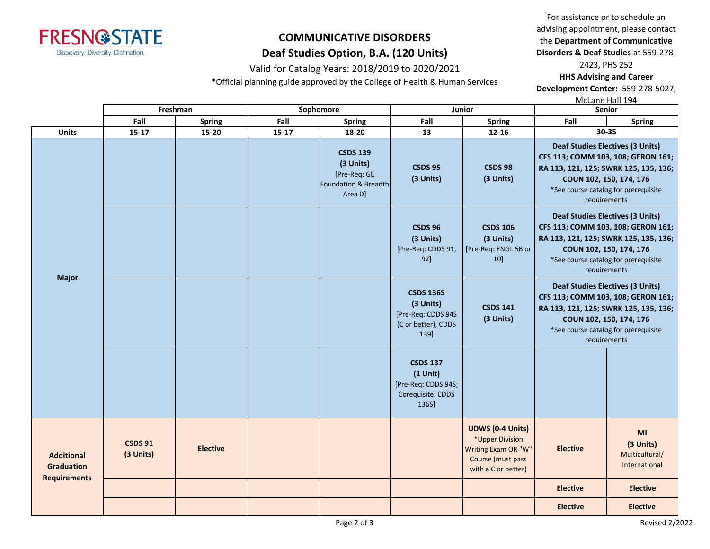

### Valid for Catalog Years: 2018/2019 to 2020/2021

\*Official planning guide approved by the College of Health & Human Services

For assistance or to schedule an advising appointment, please contact the **Department of Communicative Disorders & Deaf Studies** at 559-278-

2423, PHS 252 **HHS Advising and Career Development Center:** 559-278-5027,

McLane Hall 194

|                                        |                             | Freshman        |           | Sophomore                                                                       | Junior                                                                             |                                                                                                               | <b>IVILLAIL LIAIL LJT</b><br><b>Senior</b>                                                                                                                                                                |                                                                                                                                                                                                           |
|----------------------------------------|-----------------------------|-----------------|-----------|---------------------------------------------------------------------------------|------------------------------------------------------------------------------------|---------------------------------------------------------------------------------------------------------------|-----------------------------------------------------------------------------------------------------------------------------------------------------------------------------------------------------------|-----------------------------------------------------------------------------------------------------------------------------------------------------------------------------------------------------------|
|                                        | Fall                        | Spring          | Fall      | <b>Spring</b>                                                                   | Fall                                                                               | Spring                                                                                                        | Fall                                                                                                                                                                                                      | <b>Spring</b>                                                                                                                                                                                             |
| <b>Units</b>                           | $15-17$                     | $15 - 20$       | $15 - 17$ | 18-20                                                                           | 13                                                                                 | 12-16                                                                                                         |                                                                                                                                                                                                           | 30-35                                                                                                                                                                                                     |
|                                        |                             |                 |           | <b>CSDS 139</b><br>(3 Units)<br>[Pre-Req: GE<br>Foundation & Breadth<br>Area D] | <b>CSDS 95</b><br>(3 Units)                                                        | <b>CSDS 98</b><br>(3 Units)                                                                                   |                                                                                                                                                                                                           | <b>Deaf Studies Electives (3 Units)</b><br>CFS 113; COMM 103, 108; GERON 161;<br>RA 113, 121, 125; SWRK 125, 135, 136;<br>COUN 102, 150, 174, 176<br>*See course catalog for prerequisite<br>requirements |
|                                        |                             |                 |           |                                                                                 | <b>CSDS 96</b><br>(3 Units)<br>[Pre-Req: CDDS 91,<br>92]                           | <b>CSDS 106</b><br>(3 Units)<br>[Pre-Req: ENGL 5B or<br>10]                                                   | COUN 102, 150, 174, 176                                                                                                                                                                                   | <b>Deaf Studies Electives (3 Units)</b><br>CFS 113; COMM 103, 108; GERON 161;<br>RA 113, 121, 125; SWRK 125, 135, 136;<br>*See course catalog for prerequisite<br>requirements                            |
| <b>Major</b>                           |                             |                 |           |                                                                                 | <b>CSDS 136S</b><br>(3 Units)<br>[Pre-Req: CDDS 94S<br>(C or better), CDDS<br>139] | <b>CSDS 141</b><br>(3 Units)                                                                                  | <b>Deaf Studies Electives (3 Units)</b><br>CFS 113; COMM 103, 108; GERON 161;<br>RA 113, 121, 125; SWRK 125, 135, 136;<br>COUN 102, 150, 174, 176<br>*See course catalog for prerequisite<br>requirements |                                                                                                                                                                                                           |
|                                        |                             |                 |           |                                                                                 | <b>CSDS 137</b><br>$(1$ Unit)<br>[Pre-Req: CDDS 94S;<br>Corequisite: CDDS<br>136S] |                                                                                                               |                                                                                                                                                                                                           |                                                                                                                                                                                                           |
| <b>Additional</b><br><b>Graduation</b> | <b>CSDS 91</b><br>(3 Units) | <b>Elective</b> |           |                                                                                 |                                                                                    | <b>UDWS (0-4 Units)</b><br>*Upper Division<br>Writing Exam OR "W"<br>Course (must pass<br>with a C or better) | <b>Elective</b>                                                                                                                                                                                           | M <sub>l</sub><br>(3 Units)<br>Multicultural/<br>International                                                                                                                                            |
| <b>Requirements</b>                    |                             |                 |           |                                                                                 |                                                                                    |                                                                                                               | <b>Elective</b>                                                                                                                                                                                           | <b>Elective</b>                                                                                                                                                                                           |
|                                        |                             |                 |           |                                                                                 |                                                                                    |                                                                                                               | <b>Elective</b>                                                                                                                                                                                           | <b>Elective</b>                                                                                                                                                                                           |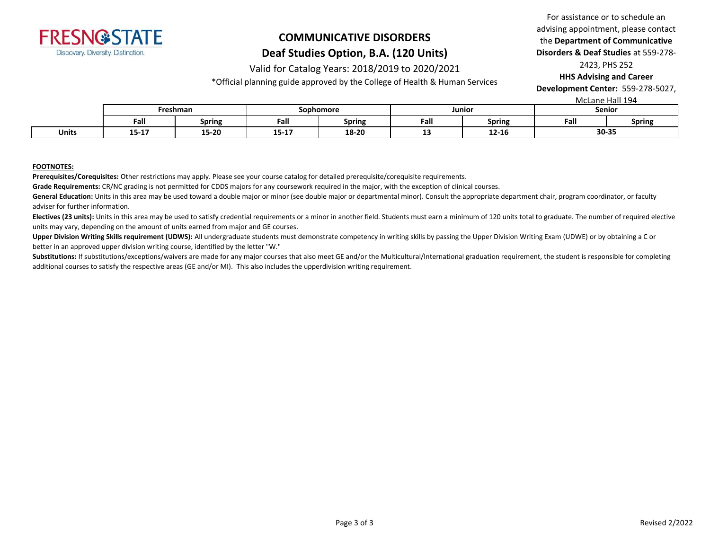

#### Valid for Catalog Years: 2018/2019 to 2020/2021

\*Official planning guide approved by the College of Health & Human Services

For assistance or to schedule an advising appointment, please contact the **Department of Communicative Disorders & Deaf Studies** at 559-278- 2423, PHS 252

**HHS Advising and Career Development Center:** 559-278-5027,

McLane Hall 194

|              | Freshman  |               | Sophomore |               | Junior |               | Senior |               |
|--------------|-----------|---------------|-----------|---------------|--------|---------------|--------|---------------|
|              | Fall      | <b>Spring</b> | Fall      | <b>Spring</b> | Fall   | <b>Spring</b> | Fall   | <b>Spring</b> |
| <b>Units</b> | $15 - 17$ | 15-20         | 15-17     | 18-20         | --     | $12 - 16$     | 30-35  |               |

#### **FOOTNOTES:**

**Prerequisites/Corequisites:** Other restrictions may apply. Please see your course catalog for detailed prerequisite/corequisite requirements.

**Grade Requirements:** CR/NC grading is not permitted for CDDS majors for any coursework required in the major, with the exception of clinical courses.

General Education: Units in this area may be used toward a double major or minor (see double major or departmental minor). Consult the appropriate department chair, program coordinator, or faculty adviser for further information.

**Electives (23 units):** Units in this area may be used to satisfy credential requirements or a minor in another field. Students must earn a minimum of 120 units total to graduate. The number of required elective units may vary, depending on the amount of units earned from major and GE courses.

Upper Division Writing Skills requirement (UDWS): All undergraduate students must demonstrate competency in writing skills by passing the Upper Division Writing Exam (UDWE) or by obtaining a C or better in an approved upper division writing course, identified by the letter "W."

Substitutions: If substitutions/exceptions/waivers are made for any major courses that also meet GE and/or the Multicultural/International graduation requirement, the student is responsible for completing additional courses to satisfy the respective areas (GE and/or MI). This also includes the upperdivision writing requirement.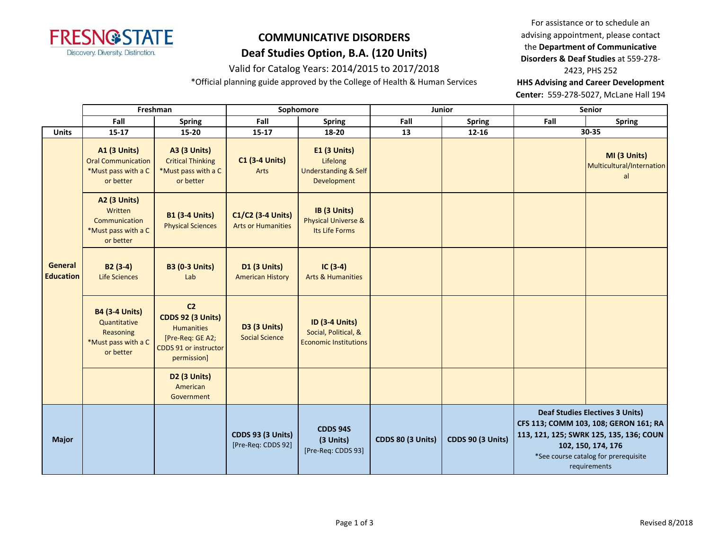

#### Valid for Catalog Years: 2014/2015 to 2017/2018

\*Official planning guide approved by the College of Health & Human Services

For assistance or to schedule an advising appointment, please contact the **Department of Communicative Disorders & Deaf Studies** at 559-278- 2423, PHS 252

**HHS Advising and Career Development** 

**Center:** 559-278-5027, McLane Hall 194

|                             | Freshman                                                                               |                                                                                                                             | Sophomore                                      |                                                                                   | Junior                   |                          | <b>Senior</b> |                                                                                                                                                                                                          |
|-----------------------------|----------------------------------------------------------------------------------------|-----------------------------------------------------------------------------------------------------------------------------|------------------------------------------------|-----------------------------------------------------------------------------------|--------------------------|--------------------------|---------------|----------------------------------------------------------------------------------------------------------------------------------------------------------------------------------------------------------|
|                             | Fall                                                                                   | <b>Spring</b>                                                                                                               | Fall                                           | <b>Spring</b>                                                                     | Fall                     | <b>Spring</b>            | Fall          | <b>Spring</b>                                                                                                                                                                                            |
| <b>Units</b>                | $15 - 17$                                                                              | $15 - 20$                                                                                                                   | $15 - 17$                                      | 18-20                                                                             | 13                       | $12 - 16$                | $30 - 35$     |                                                                                                                                                                                                          |
|                             | <b>A1 (3 Units)</b><br><b>Oral Communication</b><br>*Must pass with a C<br>or better   | <b>A3 (3 Units)</b><br><b>Critical Thinking</b><br>*Must pass with a C<br>or better                                         | <b>C1 (3-4 Units)</b><br>Arts                  | <b>E1 (3 Units)</b><br>Lifelong<br><b>Understanding &amp; Self</b><br>Development |                          |                          |               | MI (3 Units)<br>Multicultural/Internation<br>al                                                                                                                                                          |
|                             | <b>A2 (3 Units)</b><br>Written<br>Communication<br>*Must pass with a C<br>or better    | <b>B1 (3-4 Units)</b><br><b>Physical Sciences</b>                                                                           | C1/C2 (3-4 Units)<br><b>Arts or Humanities</b> | IB (3 Units)<br><b>Physical Universe &amp;</b><br>Its Life Forms                  |                          |                          |               |                                                                                                                                                                                                          |
| General<br><b>Education</b> | $B2(3-4)$<br><b>Life Sciences</b>                                                      | <b>B3 (0-3 Units)</b><br>Lab                                                                                                | <b>D1 (3 Units)</b><br><b>American History</b> | $IC(3-4)$<br><b>Arts &amp; Humanities</b>                                         |                          |                          |               |                                                                                                                                                                                                          |
|                             | <b>B4 (3-4 Units)</b><br>Quantitative<br>Reasoning<br>*Must pass with a C<br>or better | C <sub>2</sub><br><b>CDDS 92 (3 Units)</b><br><b>Humanities</b><br>[Pre-Req: GE A2;<br>CDDS 91 or instructor<br>permission] | <b>D3 (3 Units)</b><br><b>Social Science</b>   | <b>ID (3-4 Units)</b><br>Social, Political, &<br><b>Economic Institutions</b>     |                          |                          |               |                                                                                                                                                                                                          |
|                             |                                                                                        | D2 (3 Units)<br>American<br>Government                                                                                      |                                                |                                                                                   |                          |                          |               |                                                                                                                                                                                                          |
| <b>Major</b>                |                                                                                        |                                                                                                                             | <b>CDDS 93 (3 Units)</b><br>[Pre-Req: CDDS 92] | <b>CDDS 94S</b><br>(3 Units)<br>[Pre-Req: CDDS 93]                                | <b>CDDS 80 (3 Units)</b> | <b>CDDS 90 (3 Units)</b> |               | <b>Deaf Studies Electives 3 Units)</b><br>CFS 113; COMM 103, 108; GERON 161; RA<br>113, 121, 125; SWRK 125, 135, 136; COUN<br>102, 150, 174, 176<br>*See course catalog for prerequisite<br>requirements |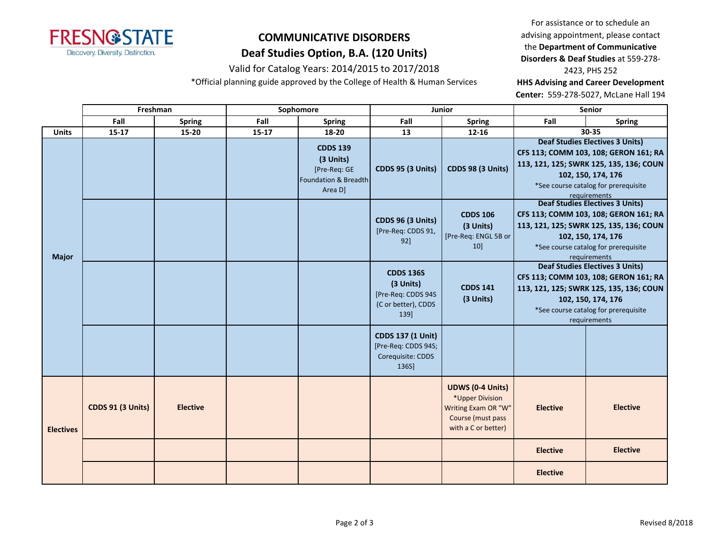

Valid for Catalog Years: 2014/2015 to 2017/2018

\*Official planning guide approved by the College of Health & Human Services

For assistance or to schedule an advising appointment, please contact the **Department of Communicative Disorders & Deaf Studies** at 559-278-

2423, PHS 252 **HHS Advising and Career Development Center:** 559-278-5027, McLane Hall 194

|                  | Freshman                 |                 | Sophomore |                                                                                 | <b>Junior</b>                                                                      |                                                                                                               | <b>Senior</b>                                                                                                                                                                                            |                                                                                                                                                                                                          |
|------------------|--------------------------|-----------------|-----------|---------------------------------------------------------------------------------|------------------------------------------------------------------------------------|---------------------------------------------------------------------------------------------------------------|----------------------------------------------------------------------------------------------------------------------------------------------------------------------------------------------------------|----------------------------------------------------------------------------------------------------------------------------------------------------------------------------------------------------------|
|                  | Fall                     | <b>Spring</b>   | Fall      | Spring                                                                          | Fall                                                                               | <b>Spring</b>                                                                                                 | Fall                                                                                                                                                                                                     | <b>Spring</b>                                                                                                                                                                                            |
| <b>Units</b>     | $15 - 17$                | 15-20           | $15 - 17$ | 18-20                                                                           | 13                                                                                 | 12-16                                                                                                         |                                                                                                                                                                                                          | 30-35                                                                                                                                                                                                    |
| <b>Major</b>     |                          |                 |           | <b>CDDS 139</b><br>(3 Units)<br>[Pre-Req: GE<br>Foundation & Breadth<br>Area D] | CDDS 95 (3 Units)                                                                  | <b>CDDS 98 (3 Units)</b>                                                                                      |                                                                                                                                                                                                          | <b>Deaf Studies Electives 3 Units)</b><br>CFS 113; COMM 103, 108; GERON 161; RA<br>113, 121, 125; SWRK 125, 135, 136; COUN<br>102, 150, 174, 176<br>*See course catalog for prerequisite<br>requirements |
|                  |                          |                 |           |                                                                                 | CDDS 96 (3 Units)<br>[Pre-Req: CDDS 91,<br>92]                                     | <b>CDDS 106</b><br>(3 Units)<br>[Pre-Req: ENGL 5B or<br>10                                                    |                                                                                                                                                                                                          | <b>Deaf Studies Electives 3 Units)</b><br>CFS 113; COMM 103, 108; GERON 161; RA<br>113, 121, 125; SWRK 125, 135, 136; COUN<br>102, 150, 174, 176<br>*See course catalog for prerequisite<br>requirements |
|                  |                          |                 |           |                                                                                 | <b>CDDS 136S</b><br>(3 Units)<br>[Pre-Req: CDDS 94S<br>(C or better), CDDS<br>139] | <b>CDDS 141</b><br>(3 Units)                                                                                  | <b>Deaf Studies Electives 3 Units)</b><br>CFS 113; COMM 103, 108; GERON 161; RA<br>113, 121, 125; SWRK 125, 135, 136; COUN<br>102, 150, 174, 176<br>*See course catalog for prerequisite<br>requirements |                                                                                                                                                                                                          |
|                  |                          |                 |           |                                                                                 | <b>CDDS 137 (1 Unit)</b><br>[Pre-Req: CDDS 94S;<br>Corequisite: CDDS<br>136S]      |                                                                                                               |                                                                                                                                                                                                          |                                                                                                                                                                                                          |
| <b>Electives</b> | <b>CDDS 91 (3 Units)</b> | <b>Elective</b> |           |                                                                                 |                                                                                    | <b>UDWS (0-4 Units)</b><br>*Upper Division<br>Writing Exam OR "W"<br>Course (must pass<br>with a C or better) | <b>Elective</b>                                                                                                                                                                                          | <b>Elective</b>                                                                                                                                                                                          |
|                  |                          |                 |           |                                                                                 |                                                                                    |                                                                                                               | <b>Elective</b>                                                                                                                                                                                          | <b>Elective</b>                                                                                                                                                                                          |
|                  |                          |                 |           |                                                                                 |                                                                                    |                                                                                                               | <b>Elective</b>                                                                                                                                                                                          |                                                                                                                                                                                                          |